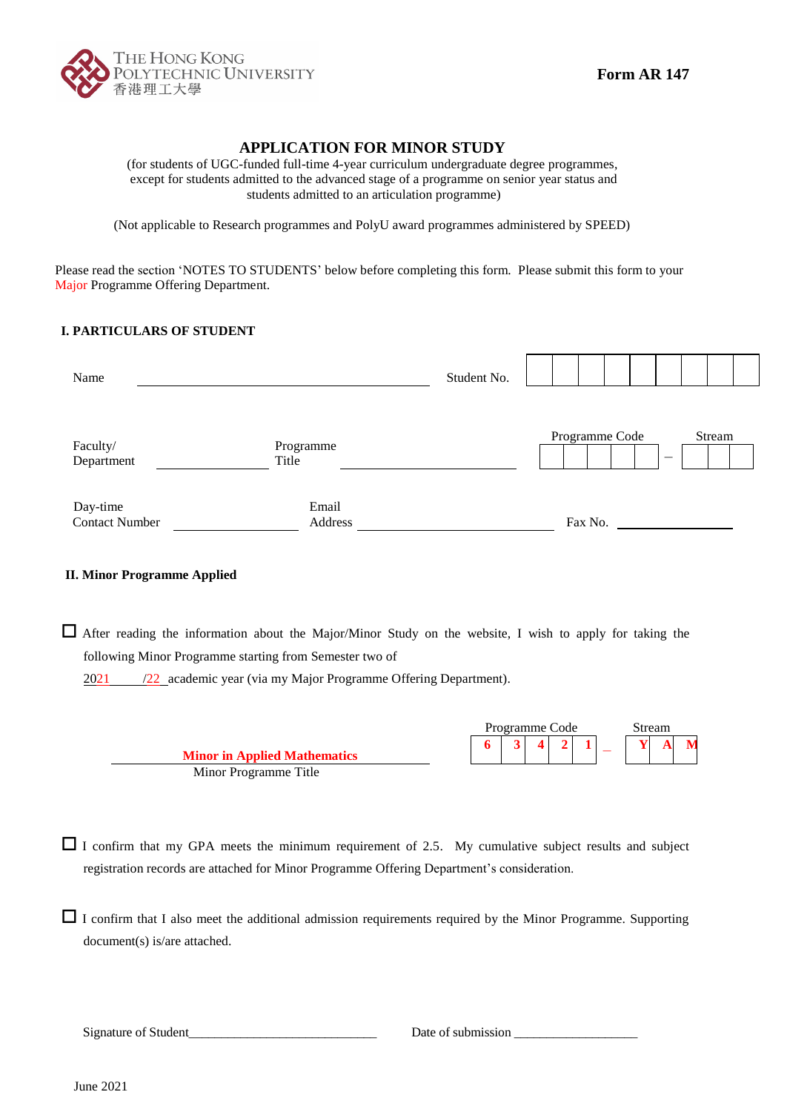

# **APPLICATION FOR MINOR STUDY**

(for students of UGC-funded full-time 4-year curriculum undergraduate degree programmes, except for students admitted to the advanced stage of a programme on senior year status and students admitted to an articulation programme)

(Not applicable to Research programmes and PolyU award programmes administered by SPEED)

Please read the section 'NOTES TO STUDENTS' below before completing this form. Please submit this form to your Major Programme Offering Department.

## **I. PARTICULARS OF STUDENT**

| Name                              |                    | Student No. |  |         |                |                          |        |  |
|-----------------------------------|--------------------|-------------|--|---------|----------------|--------------------------|--------|--|
|                                   |                    |             |  |         |                |                          |        |  |
| Faculty/<br>Department            | Programme<br>Title |             |  |         | Programme Code | $\overline{\phantom{a}}$ | Stream |  |
|                                   | Email              |             |  |         |                |                          |        |  |
| Day-time<br><b>Contact Number</b> | Address            |             |  | Fax No. |                |                          |        |  |

### **II. Minor Programme Applied**

 After reading the information about the Major/Minor Study on the website, I wish to apply for taking the following Minor Programme starting from Semester two of

2021 /22 academic year (via my Major Programme Offering Department).

|                                     |  | Programme Code |  |  | Stream |  |
|-------------------------------------|--|----------------|--|--|--------|--|
|                                     |  |                |  |  |        |  |
| <b>Minor in Applied Mathematics</b> |  |                |  |  |        |  |
| Minor Programme Title               |  |                |  |  |        |  |

 $\Box$  I confirm that my GPA meets the minimum requirement of 2.5. My cumulative subject results and subject registration records are attached for Minor Programme Offering Department's consideration.

 $\Box$  I confirm that I also meet the additional admission requirements required by the Minor Programme. Supporting document(s) is/are attached.

Signature of Student\_\_\_\_\_\_\_\_\_\_\_\_\_\_\_\_\_\_\_\_\_\_\_\_\_\_\_\_\_ Date of submission \_\_\_\_\_\_\_\_\_\_\_\_\_\_\_\_\_\_\_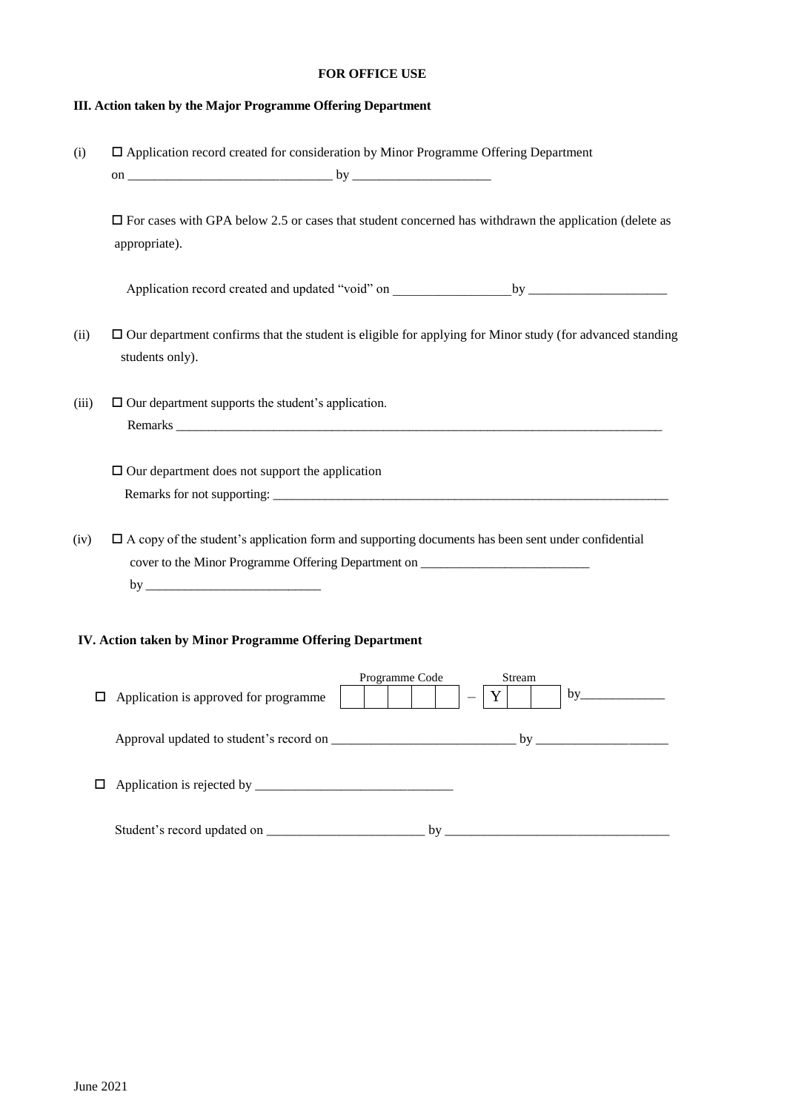#### **FOR OFFICE USE**

### **III. Action taken by the Major Programme Offering Department**

(i) Application record created for consideration by Minor Programme Offering Department on \_\_\_\_\_\_\_\_\_\_\_\_\_\_\_\_\_\_\_\_\_\_\_\_\_\_\_\_\_\_\_ by \_\_\_\_\_\_\_\_\_\_\_\_\_\_\_\_\_\_\_\_\_

 $\Box$  For cases with GPA below 2.5 or cases that student concerned has withdrawn the application (delete as appropriate).

Application record created and updated "void" on \_\_\_\_\_\_\_\_\_\_\_\_\_\_\_\_\_\_by \_\_\_\_\_\_\_\_\_\_\_\_\_\_\_\_\_\_\_\_\_

- (ii)  $\Box$  Our department confirms that the student is eligible for applying for Minor study (for advanced standing students only).
- (iii)  $\Box$  Our department supports the student's application. Remarks
	- $\square$  Our department does not support the application Remarks for not supporting: \_\_\_\_\_\_\_\_\_\_\_\_\_\_\_\_\_\_\_\_\_\_\_\_\_\_\_\_\_\_\_\_\_\_\_\_\_\_\_\_\_\_\_\_\_\_\_\_\_\_\_\_\_\_\_\_\_\_\_\_\_
- $(iv)$   $\Box$  A copy of the student's application form and supporting documents has been sent under confidential cover to the Minor Programme Offering Department on \_\_\_\_\_\_\_\_\_\_\_\_\_\_\_\_\_\_\_\_\_\_\_\_\_\_\_\_\_ by \_\_\_\_\_\_\_\_\_\_\_\_\_\_\_\_\_\_\_\_\_\_\_\_\_\_\_

### **IIV. Action taken by Minor Programme Offering Department**

| $\Box$ | Application is approved for programme | Programme Code<br>Stream<br>by |
|--------|---------------------------------------|--------------------------------|
|        |                                       | $\mathbf{b}$ y                 |
|        |                                       |                                |
|        | Student's record updated on ________  | by                             |